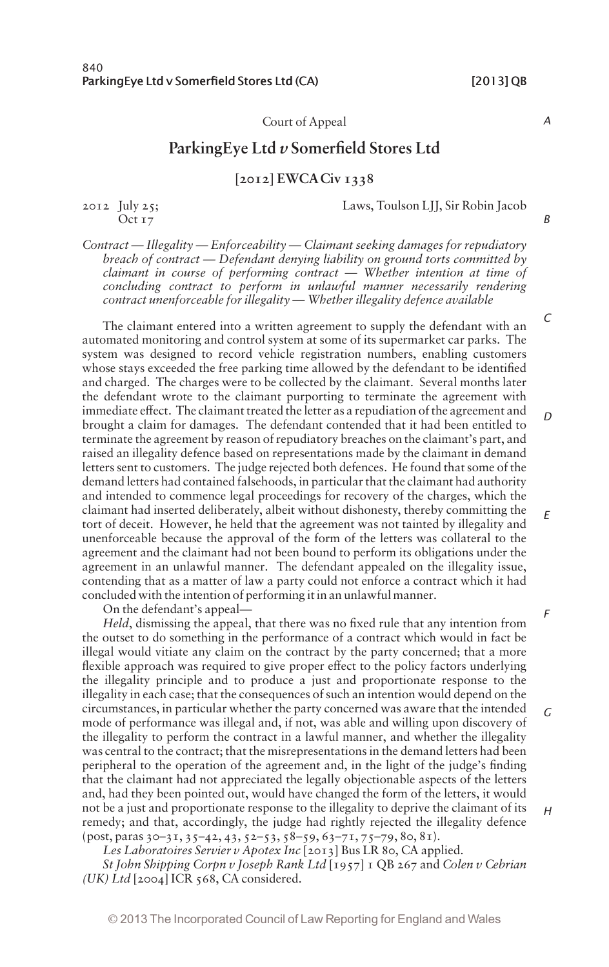### Court of Appeal

# ParkingEye Ltd v Somerfield Stores Ltd

## [2012] EWCA Civ 1338

2012 July 25; Oct 17

Laws, Toulson LJJ, Sir Robin Jacob

B

A

Contract — Illegality — Enforceability — Claimant seeking damages for repudiatory breach of contract — Defendant denying liability on ground torts committed by claimant in course of performing contract — Whether intention at time of concluding contract to perform in unlawful manner necessarily rendering contract unenforceable for illegality — Whether illegality defence available

The claimant entered into a written agreement to supply the defendant with an automated monitoring and control system at some of its supermarket car parks. The system was designed to record vehicle registration numbers, enabling customers whose stays exceeded the free parking time allowed by the defendant to be identified and charged. The charges were to be collected by the claimant. Several months later the defendant wrote to the claimant purporting to terminate the agreement with immediate effect. The claimant treated the letter as a repudiation of the agreement and brought a claim for damages. The defendant contended that it had been entitled to terminate the agreement by reason of repudiatory breaches on the claimant's part, and raised an illegality defence based on representations made by the claimant in demand letters sent to customers. The judge rejected both defences. He found that some of the demand letters had contained falsehoods, in particular that the claimant had authority and intended to commence legal proceedings for recovery of the charges, which the claimant had inserted deliberately, albeit without dishonesty, thereby committing the tort of deceit. However, he held that the agreement was not tainted by illegality and unenforceable because the approval of the form of the letters was collateral to the agreement and the claimant had not been bound to perform its obligations under the agreement in an unlawful manner. The defendant appealed on the illegality issue, contending that as a matter of law a party could not enforce a contract which it had concluded with the intention of performing it in an unlawful manner. C  $\Gamma$ E

On the defendant's appeal-

Held, dismissing the appeal, that there was no fixed rule that any intention from the outset to do something in the performance of a contract which would in fact be illegal would vitiate any claim on the contract by the party concerned; that a more flexible approach was required to give proper effect to the policy factors underlying the illegality principle and to produce a just and proportionate response to the illegality in each case; that the consequences of such an intention would depend on the circumstances, in particular whether the party concerned was aware that the intended mode of performance was illegal and, if not, was able and willing upon discovery of the illegality to perform the contract in a lawful manner, and whether the illegality was central to the contract; that the misrepresentations in the demand letters had been peripheral to the operation of the agreement and, in the light of the judge's finding that the claimant had not appreciated the legally objectionable aspects of the letters and, had they been pointed out, would have changed the form of the letters, it would not be a just and proportionate response to the illegality to deprive the claimant of its remedy; and that, accordingly, the judge had rightly rejected the illegality defence  $(post, paras 30-31, 35-42, 43, 52-53, 58-59, 63-71, 75-79, 80, 81).$ 

Les Laboratoires Servier v Apotex Inc [2013] Bus LR 80, CA applied.

St John Shipping Corpn v Joseph Rank Ltd [1957] 1 QB 267 and Colen v Cebrian (UK) Ltd [2004] ICR 568, CA considered.

 $H$ 

F

G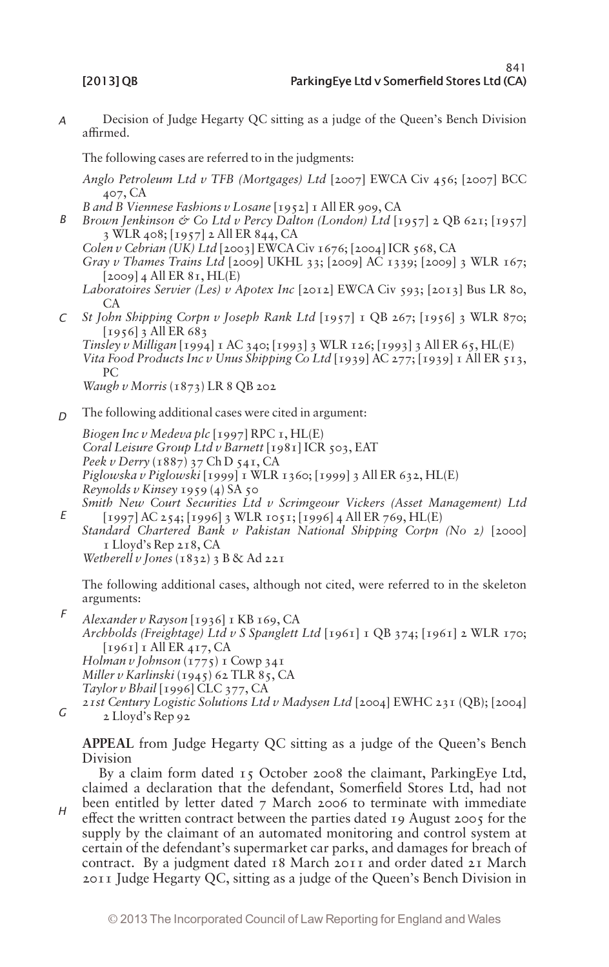Decision of Judge Hegarty QC sitting as a judge of the Queen's Bench Division affirmed A

The following cases are referred to in the judgments:

- Anglo Petroleum Ltd v TFB (Mortgages) Ltd [2007] EWCA Civ 456; [2007] BCC 407, CA
- B and B Viennese Fashions v Losane [1952] 1 All ER 909, CA
- Brown Jenkinson & Co Ltd v Percy Dalton (London) Ltd  $\lceil \log 7 \rceil$  2 QB 621;  $\lceil \log 7 \rceil$ 3 WLR 408; [1957] 2 All ER 844, CA  $\overline{R}$ 
	- Colen v Cebrian (UK) Ltd [2003] EWCA Civ 1676; [2004] ICR 568, CA

Gray v Thames Trains Ltd [2009] UKHL 33; [2009] AC 1339; [2009] 3 WLR 167;  $[2009]$  4 All ER  $8$ <sub>I</sub>, HL(E)

- Laboratoires Servier (Les) v Apotex Inc [2012] EWCA Civ 593; [2013] Bus LR 80, CA
- St John Shipping Corpn v Joseph Rank Ltd [1957] 1 QB 267; [1956] 3 WLR 870; [1956] 3 All ER 683  $\mathcal{C}_{0}$

Tinsley v Milligan [1994] 1 AC 340; [1993] 3 WLR 126; [1993] 3 All ER 65, HL(E) Vita Food Products Inc v Unus Shipping Co Ltd [1939] AC 277; [1939] 1 All ER 513, PC

Waugh v Morris  $(1873)$  LR 8 QB 202

The following additional cases were cited in argument: D

Biogen Inc v Medeva plc [1997] RPC  $I$ , HL(E) Coral Leisure Group Ltd v Barnett [1981] ICR 503, EAT Peek v Derry (1887) 37 Ch D 541, CA Piglowska v Piglowski  $[1999]$  I WLR 1360;  $[1999]$  3 All ER 632, HL(E) Reynolds v Kinsey 1959 (4) SA 50 Smith New Court Securities Ltd v Scrimgeour Vickers (Asset Management) Ltd

[1997] AC 254; [1996] 3 WLR 1051; [1996] 4 All ER 769, HL(E) Standard Chartered Bank v Pakistan National Shipping Corpn (No 2) [2000]  $I$  Lloyd's Rep 218, CA Wetherell v Jones  $(1832)$  3 B & Ad 221 E

The following additional cases, although not cited, were referred to in the skeleton arguments:

- Alexander v Rayson [1936] 1 KB 169, CA Archbolds (Freightage) Ltd v S Spanglett Ltd [1961] 1  $OB$  374; [1961] 2 WLR 170; [1961] 1 All ER 417, CA Holman v Johnson  $(1775)$  I Cowp 341 Miller v Karlinski (1945) 62 TLR 85, CA Taylor v Bhail [1996] CLC 377, CA 21st Century Logistic Solutions Ltd v Madysen Ltd [2004] EWHC 231 (QB); [2004] F
- 2 Lloyd's Rep 92 G

APPEAL from Judge Hegarty OC sitting as a judge of the Queen's Bench Division

By a claim form dated 15 October 2008 the claimant, ParkingEye Ltd, claimed a declaration that the defendant, Somerfield Stores Ltd, had not been entitled by letter dated 7 March 2006 to terminate with immediate

effect the written contract between the parties dated 19 August 2005 for the supply by the claimant of an automated monitoring and control system at certain of the defendant's supermarket car parks, and damages for breach of contract. By a judgment dated 18 March 2011 and order dated 21 March  $2011$  Judge Hegarty QC, sitting as a judge of the Queen's Bench Division in  $H$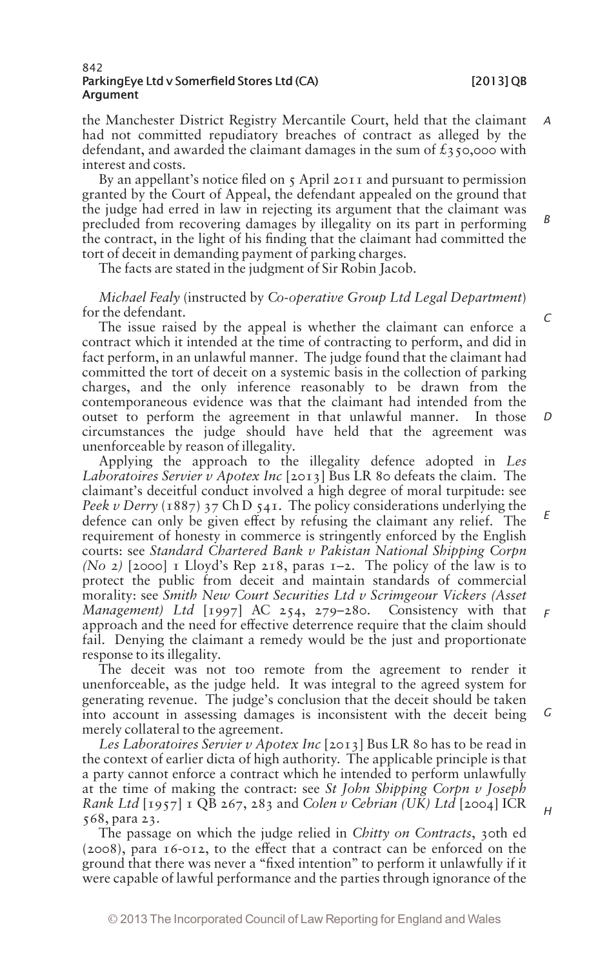### 842 ParkingEye Ltd v Somerfield Stores Ltd (CA) [2013] QB **Argument**

the Manchester District Registry Mercantile Court, held that the claimant had not committed repudiatory breaches of contract as alleged by the defendant, and awarded the claimant damages in the sum of  $\ell_3$ 50,000 with interest and costs. A

By an appellant's notice filed on 5 April 2011 and pursuant to permission granted by the Court of Appeal, the defendant appealed on the ground that the judge had erred in law in rejecting its argument that the claimant was precluded from recovering damages by illegality on its part in performing the contract, in the light of his finding that the claimant had committed the tort of deceit in demanding payment of parking charges.

The facts are stated in the judgment of Sir Robin Jacob.

Michael Fealy (instructed by Co-operative Group Ltd Legal Department) for the defendant.

The issue raised by the appeal is whether the claimant can enforce a contract which it intended at the time of contracting to perform, and did in fact perform, in an unlawful manner. The judge found that the claimant had committed the tort of deceit on a systemic basis in the collection of parking charges, and the only inference reasonably to be drawn from the contemporaneous evidence was that the claimant had intended from the outset to perform the agreement in that unlawful manner. In those circumstances the judge should have held that the agreement was unenforceable by reason of illegality.

Applying the approach to the illegality defence adopted in Les Laboratoires Servier v Apotex Inc  $[2013]$  Bus LR 80 defeats the claim. The claimant's deceitful conduct involved a high degree of moral turpitude: see Peek v Derry (1887) 37 Ch D 541. The policy considerations underlying the defence can only be given effect by refusing the claimant any relief. The requirement of honesty in commerce is stringently enforced by the English courts: see Standard Chartered Bank v Pakistan National Shipping Corpn (No 2) [2000] I Lloyd's Rep 218, paras  $I-2$ . The policy of the law is to protect the public from deceit and maintain standards of commercial morality: see Smith New Court Securities Ltd v Scrimgeour Vickers (Asset Management) Ltd [1997] AC 254, 279—280. Consistency with that approach and the need for effective deterrence require that the claim should fail. Denying the claimant a remedy would be the just and proportionate response to its illegality.

The deceit was not too remote from the agreement to render it unenforceable, as the judge held. It was integral to the agreed system for generating revenue. The judge's conclusion that the deceit should be taken into account in assessing damages is inconsistent with the deceit being merely collateral to the agreement.

Les Laboratoires Servier v Apotex Inc [2013] Bus LR 80 has to be read in the context of earlier dicta of high authority. The applicable principle is that a party cannot enforce a contract which he intended to perform unlawfully at the time of making the contract: see St John Shipping Corpn  $\nu$  Joseph Rank Ltd  $\lceil \log_7 \rceil$  I QB 267, 283 and Colen v Cebrian (UK) Ltd  $\lceil \log_4 \rceil$  ICR 568, para 23.

The passage on which the judge relied in *Chitty on Contracts*, 30th ed  $(2008)$ , para  $16-012$ , to the effect that a contract can be enforced on the ground that there was never a "fixed intention" to perform it unlawfully if it were capable of lawful performance and the parties through ignorance of the C

D

E

F

G

 $\overline{H}$ 

B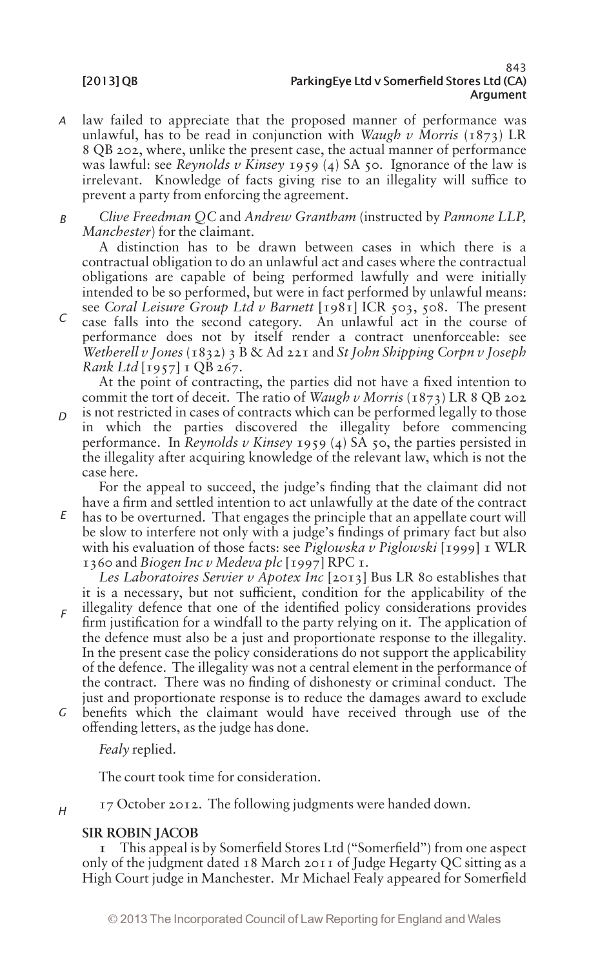law failed to appreciate that the proposed manner of performance was unlawful, has to be read in conjunction with Waugh v Morris (1873) LR 8 QB 202, where, unlike the present case, the actual manner of performance was lawful: see Reynolds v Kinsey 1959 (4) SA 50. Ignorance of the law is irrelevant. Knowledge of facts giving rise to an illegality will suffice to prevent a party from enforcing the agreement. A

Clive Freedman QC and Andrew Grantham (instructed by Pannone LLP, Manchester) for the claimant. B

A distinction has to be drawn between cases in which there is a contractual obligation to do an unlawful act and cases where the contractual obligations are capable of being performed lawfully and were initially intended to be so performed, but were in fact performed by unlawful means: see Coral Leisure Group Ltd v Barnett [1981] ICR 503, 508. The present

case falls into the second category. An unlawful act in the course of performance does not by itself render a contract unenforceable: see Wetherell v Jones  $(1832)$  3 B & Ad 221 and St John Shipping Corpn v Joseph Rank Ltd [1957] 1 QB 267.  $\mathcal{C}$ 

At the point of contracting, the parties did not have a fixed intention to commit the tort of deceit. The ratio of Waugh v Morris ( $1873$ ) LR 8 QB 202

is not restricted in cases of contracts which can be performed legally to those in which the parties discovered the illegality before commencing performance. In Reynolds v Kinsey 1959 (4) SA 50, the parties persisted in the illegality after acquiring knowledge of the relevant law, which is not the case here. D

For the appeal to succeed, the judge's finding that the claimant did not have a firm and settled intention to act unlawfully at the date of the contract

has to be overturned. That engages the principle that an appellate court will be slow to interfere not only with a judge's findings of primary fact but also with his evaluation of those facts: see Piglowska v Piglowski [1999]  $\bar{x}$  WLR 1360 and Biogen Inc v Medeva plc [1997] RPC 1. E

Les Laboratoires Servier v Apotex Inc  $[2013]$  Bus LR 80 establishes that it is a necessary, but not sufficient, condition for the applicability of the

- illegality defence that one of the identified policy considerations provides firm justification for a windfall to the party relying on it. The application of the defence must also be a just and proportionate response to the illegality. In the present case the policy considerations do not support the applicability of the defence. The illegality was not a central element in the performance of the contract. There was no finding of dishonesty or criminal conduct. The just and proportionate response is to reduce the damages award to exclude benefits which the claimant would have received through use of the F G
- offending letters, as the judge has done.

Fealy replied.

The court took time for consideration.

 $H$ 

17 October 2012. The following judgments were handed down.

## SIR ROBIN JACOB

I This appeal is by Somerfield Stores Ltd ("Somerfield") from one aspect only of the judgment dated 18 March 2011 of Judge Hegarty QC sitting as a High Court judge in Manchester. Mr Michael Fealy appeared for Somerfield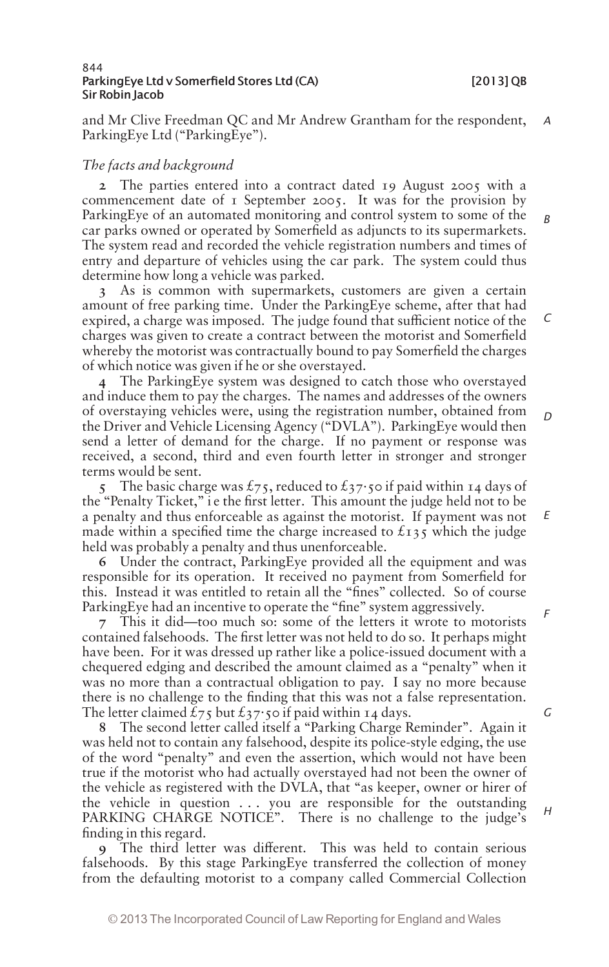and Mr Clive Freedman QC and Mr Andrew Grantham for the respondent, A ParkingEye Ltd ("ParkingEye").

## The facts and background

2 The parties entered into a contract dated 19 August 2005 with a commencement date of 1 September 2005. It was for the provision by ParkingEye of an automated monitoring and control system to some of the car parks owned or operated by Somerfield as adjuncts to its supermarkets. The system read and recorded the vehicle registration numbers and times of entry and departure of vehicles using the car park. The system could thus determine how long a vehicle was parked.

3 As is common with supermarkets, customers are given a certain amount of free parking time. Under the ParkingEye scheme, after that had expired, a charge was imposed. The judge found that sufficient notice of the charges was given to create a contract between the motorist and Somerfield whereby the motorist was contractually bound to pay Somerfield the charges of which notice was given if he or she overstayed.

The ParkingEye system was designed to catch those who overstayed and induce them to pay the charges. The names and addresses of the owners of overstaying vehicles were, using the registration number, obtained from the Driver and Vehicle Licensing Agency ("DVLA"). ParkingEye would then send a letter of demand for the charge. If no payment or response was received, a second, third and even fourth letter in stronger and stronger terms would be sent.

5 The basic charge was  $\zeta$ , reduced to  $\zeta$ 37.50 if paid within 14 days of the "Penalty Ticket," i e the first letter. This amount the judge held not to be a penalty and thus enforceable as against the motorist. If payment was not made within a specified time the charge increased to  $\text{\pounds}_{135}$  which the judge held was probably a penalty and thus unenforceable.

6 Under the contract, ParkingEye provided all the equipment and was responsible for its operation. It received no payment from Somerfield for this. Instead it was entitled to retain all the "fines" collected. So of course ParkingEye had an incentive to operate the "fine" system aggressively.

7 This it did—too much so: some of the letters it wrote to motorists contained falsehoods. The first letter was not held to do so. It perhaps might have been. For it was dressed up rather like a police-issued document with a chequered edging and described the amount claimed as a "penalty" when it was no more than a contractual obligation to pay. I say no more because there is no challenge to the finding that this was not a false representation. The letter claimed  $\pounds$ 75 but  $\pounds$ 37.50 if paid within 14 days.

The second letter called itself a "Parking Charge Reminder". Again it was held not to contain any falsehood, despite its police-style edging, the use of the word "penalty" and even the assertion, which would not have been true if the motorist who had actually overstayed had not been the owner of the vehicle as registered with the DVLA, that "as keeper, owner or hirer of the vehicle in question  $\ldots$  you are responsible for the outstanding PARKING CHARGE NOTICE". There is no challenge to the judge's -nding in this regard.

The third letter was different. This was held to contain serious falsehoods. By this stage ParkingEye transferred the collection of money from the defaulting motorist to a company called Commercial Collection  $\overline{D}$ 

E

F

C

B

G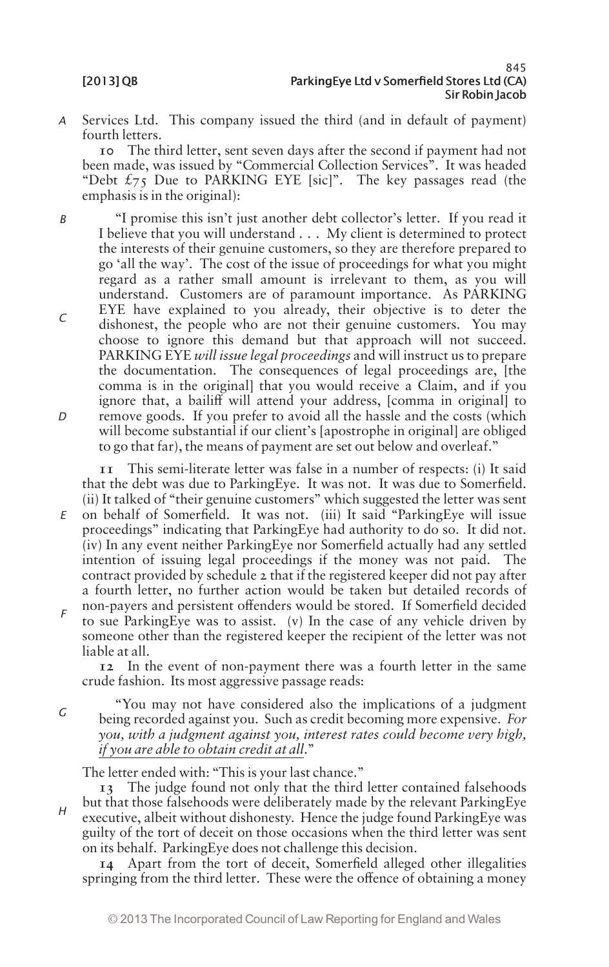Services Ltd. This company issued the third (and in default of payment) fourth letters. A

10 The third letter, sent seven days after the second if payment had not been made, was issued by "Commercial Collection Services". It was headed "Debt  $\overline{k_{75}}$  Due to PARKING EYE [sic]". The key passages read (the emphasis is in the original):

"I promise this isn't just another debt collector's letter. If you read it I believe that you will understand . . . My client is determined to protect the interests of their genuine customers, so they are therefore prepared to go 'all the way'. The cost of the issue of proceedings for what you might regard as a rather small amount is irrelevant to them, as you will understand. Customers are of paramount importance. As PARKING EYE have explained to you already, their objective is to deter the dishonest, the people who are not their genuine customers. You may choose to ignore this demand but that approach will not succeed. PARKING EYE *will issue legal proceedings* and will instruct us to prepare the documentation. The consequences of legal proceedings are, [the comma is in the original] that you would receive a Claim, and if you ignore that, a bailiff will attend your address, [comma in original] to remove goods. If you prefer to avoid all the hassle and the costs (which will become substantial if our client's [apostrophe in original] are obliged to go that far), the means of payment are set out below and overleaf. B C D

11 This semi-literate letter was false in a number of respects: (i) It said that the debt was due to ParkingEye. It was not. It was due to Somerfield. (ii) It talked of "their genuine customers" which suggested the letter was sent on behalf of Somerfield. It was not. (iii) It said "ParkingEye will issue proceedings indicating that ParkingEye had authority to do so. It did not. (iv) In any event neither ParkingEye nor Somerfield actually had any settled intention of issuing legal proceedings if the money was not paid. The contract provided by schedule 2 that if the registered keeper did not pay after a fourth letter, no further action would be taken but detailed records of non-payers and persistent offenders would be stored. If Somerfield decided to sue ParkingEye was to assist. (v) In the case of any vehicle driven by E F

someone other than the registered keeper the recipient of the letter was not liable at all.

12 In the event of non-payment there was a fourth letter in the same crude fashion. Its most aggressive passage reads:

You may not have considered also the implications of a judgment being recorded against you. Such as credit becoming more expensive. For you, with a judgment against you, interest rates could become very high, if you are able to obtain credit at all. G

The letter ended with: "This is your last chance."

13 The judge found not only that the third letter contained falsehoods but that those falsehoods were deliberately made by the relevant ParkingEye executive, albeit without dishonesty. Hence the judge found ParkingEye was guilty of the tort of deceit on those occasions when the third letter was sent on its behalf. ParkingEye does not challenge this decision. H

14 Apart from the tort of deceit, Somerfield alleged other illegalities springing from the third letter. These were the offence of obtaining a money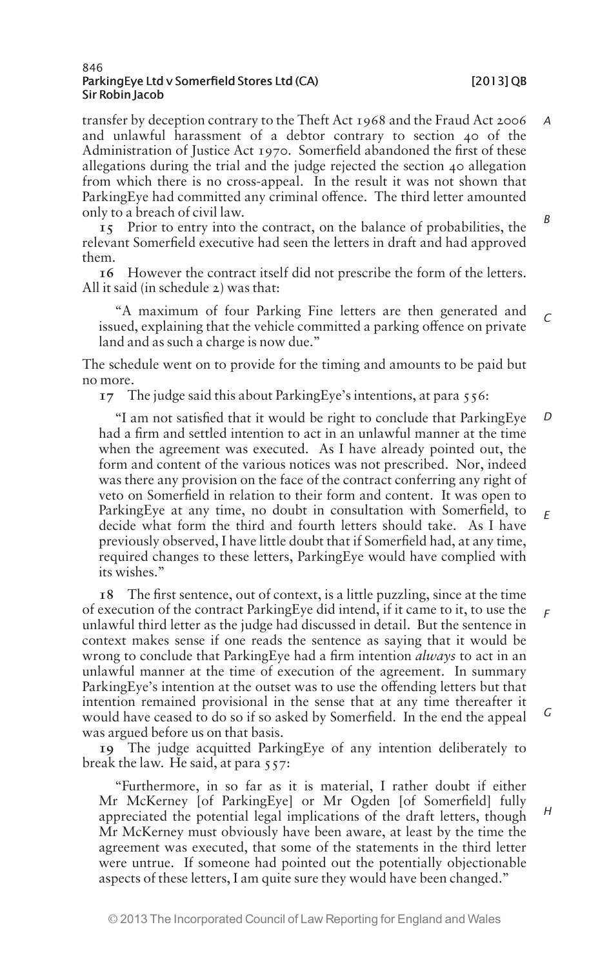transfer by deception contrary to the Theft Act 1968 and the Fraud Act 2006 and unlawful harassment of a debtor contrary to section 40 of the Administration of Justice Act 1970. Somerfield abandoned the first of these allegations during the trial and the judge rejected the section 40 allegation from which there is no cross-appeal. In the result it was not shown that ParkingEye had committed any criminal offence. The third letter amounted only to a breach of civil law. A B

15 Prior to entry into the contract, on the balance of probabilities, the relevant Somerfield executive had seen the letters in draft and had approved them.

16 However the contract itself did not prescribe the form of the letters. All it said (in schedule 2) was that:

A maximum of four Parking Fine letters are then generated and issued, explaining that the vehicle committed a parking offence on private land and as such a charge is now due."  $\sqrt{2}$ 

The schedule went on to provide for the timing and amounts to be paid but no more.

 $17$  The judge said this about Parking Eye's intentions, at para  $556$ :

"I am not satisfied that it would be right to conclude that ParkingEye had a firm and settled intention to act in an unlawful manner at the time when the agreement was executed. As I have already pointed out, the form and content of the various notices was not prescribed. Nor, indeed was there any provision on the face of the contract conferring any right of veto on Somerfield in relation to their form and content. It was open to ParkingEye at any time, no doubt in consultation with Somerfield, to decide what form the third and fourth letters should take. As I have previously observed, I have little doubt that if Somerfield had, at any time, required changes to these letters, ParkingEye would have complied with its wishes." D E

18 The first sentence, out of context, is a little puzzling, since at the time of execution of the contract ParkingEye did intend, if it came to it, to use the unlawful third letter as the judge had discussed in detail. But the sentence in context makes sense if one reads the sentence as saying that it would be wrong to conclude that ParkingEye had a firm intention *always* to act in an unlawful manner at the time of execution of the agreement. In summary Parking Eye's intention at the outset was to use the offending letters but that intention remained provisional in the sense that at any time thereafter it would have ceased to do so if so asked by Somerfield. In the end the appeal was argued before us on that basis. F G

19 The judge acquitted ParkingEye of any intention deliberately to break the law. He said, at para 557:

Furthermore, in so far as it is material, I rather doubt if either Mr McKerney [of ParkingEye] or Mr Ogden [of Somerfield] fully appreciated the potential legal implications of the draft letters, though Mr McKerney must obviously have been aware, at least by the time the agreement was executed, that some of the statements in the third letter were untrue. If someone had pointed out the potentially objectionable aspects of these letters, I am quite sure they would have been changed."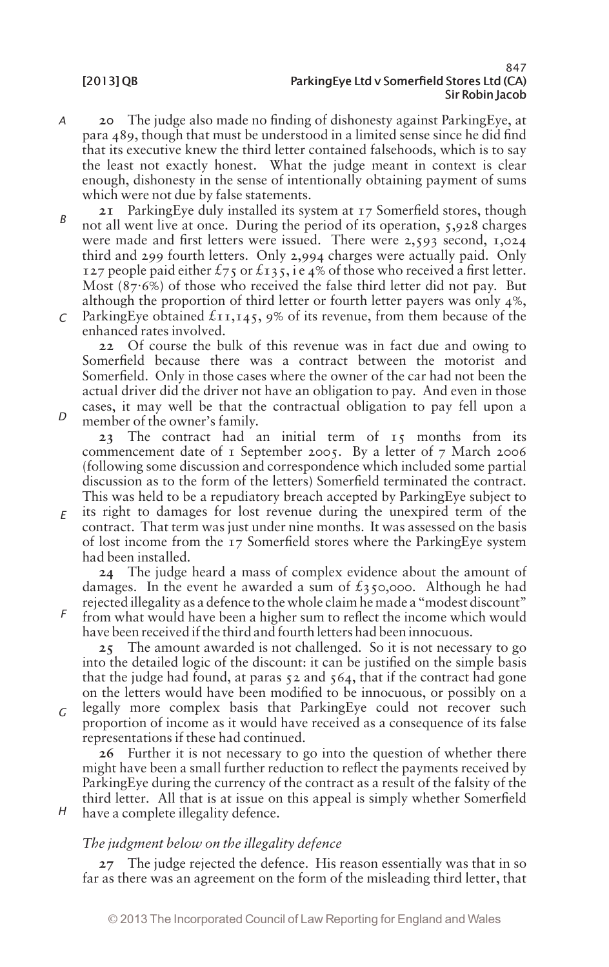- 20 The judge also made no finding of dishonesty against ParkingEye, at para 489, though that must be understood in a limited sense since he did find that its executive knew the third letter contained falsehoods, which is to say the least not exactly honest. What the judge meant in context is clear enough, dishonesty in the sense of intentionally obtaining payment of sums which were not due by false statements. A
- 21 ParkingEye duly installed its system at 17 Somerfield stores, though not all went live at once. During the period of its operation, 5,928 charges were made and first letters were issued. There were 2,593 second, 1,024 third and 299 fourth letters. Only 2,994 charges were actually paid. Only 127 people paid either  $\zeta$  or  $\zeta$  135, i e 4% of those who received a first letter. Most (87.6%) of those who received the false third letter did not pay. But although the proportion of third letter or fourth letter payers was only 4%, B
- ParkingEye obtained  $\pounds$ 11,145, 9% of its revenue, from them because of the enhanced rates involved.  $\mathcal{C}$

22 Of course the bulk of this revenue was in fact due and owing to Somerfield because there was a contract between the motorist and Somerfield. Only in those cases where the owner of the car had not been the actual driver did the driver not have an obligation to pay. And even in those cases, it may well be that the contractual obligation to pay fell upon a

member of the owner's family.

D

G

H

23 The contract had an initial term of 15 months from its commencement date of 1 September 2005. By a letter of 7 March 2006 (following some discussion and correspondence which included some partial discussion as to the form of the letters) Somerfield terminated the contract. This was held to be a repudiatory breach accepted by ParkingEye subject to

its right to damages for lost revenue during the unexpired term of the contract. That term was just under nine months. It was assessed on the basis of lost income from the 17 Somerfield stores where the ParkingEye system had been installed. E

24 The judge heard a mass of complex evidence about the amount of damages. In the event he awarded a sum of  $\text{\pounds}_{35}$ , 0,000. Although he had rejected illegality as a defence to the whole claim he made a "modest discount"

from what would have been a higher sum to reflect the income which would have been received if the third and fourth letters had been innocuous. F

25 The amount awarded is not challenged. So it is not necessary to go into the detailed logic of the discount: it can be justified on the simple basis that the judge had found, at paras  $52$  and  $564$ , that if the contract had gone on the letters would have been modified to be innocuous, or possibly on a legally more complex basis that ParkingEye could not recover such proportion of income as it would have received as a consequence of its false representations if these had continued.

26 Further it is not necessary to go into the question of whether there might have been a small further reduction to reflect the payments received by ParkingEye during the currency of the contract as a result of the falsity of the third letter. All that is at issue on this appeal is simply whether Somerfield have a complete illegality defence.

The judgment below on the illegality defence

The judge rejected the defence. His reason essentially was that in so far as there was an agreement on the form of the misleading third letter, that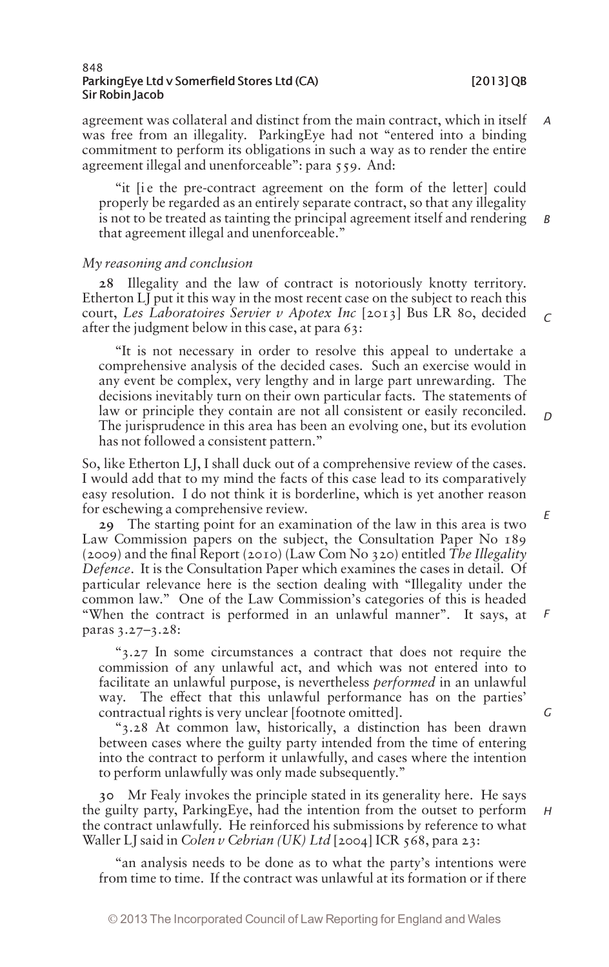agreement was collateral and distinct from the main contract, which in itself was free from an illegality. ParkingEye had not "entered into a binding commitment to perform its obligations in such a way as to render the entire agreement illegal and unenforceable": para 559. And: A

"it *lie* the pre-contract agreement on the form of the letter] could properly be regarded as an entirely separate contract, so that any illegality is not to be treated as tainting the principal agreement itself and rendering that agreement illegal and unenforceable. B

## My reasoning and conclusion

28 Illegality and the law of contract is notoriously knotty territory. Etherton LI put it this way in the most recent case on the subject to reach this court, Les Laboratoires Servier v Apotex Inc [2013] Bus LR 80, decided after the judgment below in this case, at para 63:

It is not necessary in order to resolve this appeal to undertake a comprehensive analysis of the decided cases. Such an exercise would in any event be complex, very lengthy and in large part unrewarding. The decisions inevitably turn on their own particular facts. The statements of law or principle they contain are not all consistent or easily reconciled. The jurisprudence in this area has been an evolving one, but its evolution has not followed a consistent pattern.

So, like Etherton LJ, I shall duck out of a comprehensive review of the cases. I would add that to my mind the facts of this case lead to its comparatively easy resolution. I do not think it is borderline, which is yet another reason for eschewing a comprehensive review.

The starting point for an examination of the law in this area is two Law Commission papers on the subject, the Consultation Paper No 189 (2009) and the final Report (2010) (Law Com No 320) entitled The Illegality Defence. It is the Consultation Paper which examines the cases in detail. Of particular relevance here is the section dealing with "Illegality under the common law." One of the Law Commission's categories of this is headed When the contract is performed in an unlawful manner. It says, at paras 3.27—3.28:

3.27 In some circumstances a contract that does not require the commission of any unlawful act, and which was not entered into to facilitate an unlawful purpose, is nevertheless *performed* in an unlawful way. The effect that this unlawful performance has on the parties' contractual rights is very unclear [footnote omitted].

3.28 At common law, historically, a distinction has been drawn between cases where the guilty party intended from the time of entering into the contract to perform it unlawfully, and cases where the intention to perform unlawfully was only made subsequently.

30 Mr Fealy invokes the principle stated in its generality here. He says the guilty party, ParkingEye, had the intention from the outset to perform the contract unlawfully. He reinforced his submissions by reference to what Waller LJ said in Colen v Cebrian (UK) Ltd  $[2004]$  ICR 568, para 23:

an analysis needs to be done as to what the party's intentions were from time to time. If the contract was unlawful at its formation or if there F

 $\Gamma$ 

 $\overline{D}$ 

E

 $H$ 

G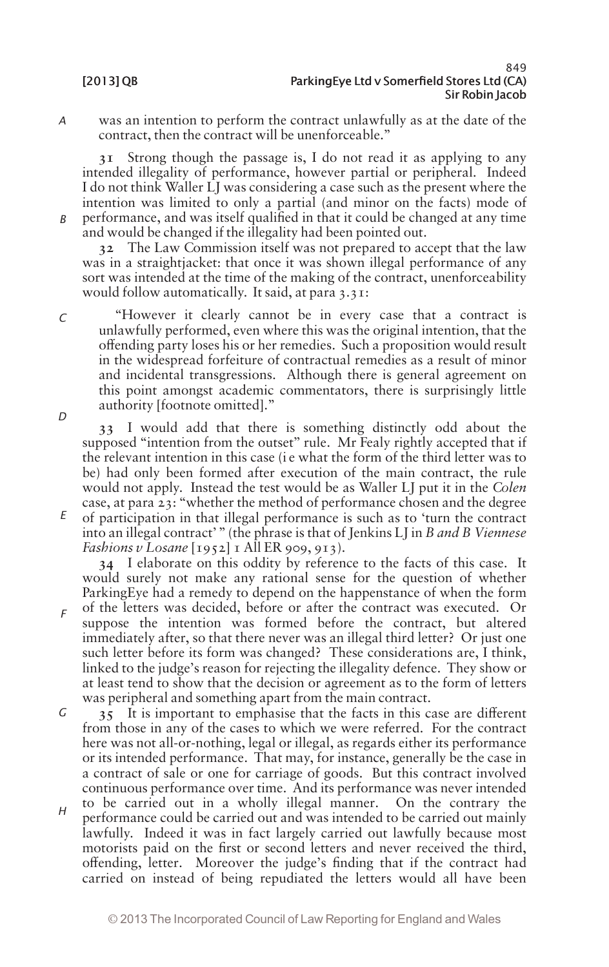A

R .

was an intention to perform the contract unlawfully as at the date of the contract, then the contract will be unenforceable.

31 Strong though the passage is, I do not read it as applying to any intended illegality of performance, however partial or peripheral. Indeed I do not think Waller LJ was considering a case such as the present where the intention was limited to only a partial (and minor on the facts) mode of performance, and was itself qualified in that it could be changed at any time and would be changed if the illegality had been pointed out.

32 The Law Commission itself was not prepared to accept that the law was in a straightjacket: that once it was shown illegal performance of any sort was intended at the time of the making of the contract, unenforceability would follow automatically. It said, at para 3.31:

However it clearly cannot be in every case that a contract is unlawfully performed, even where this was the original intention, that the offending party loses his or her remedies. Such a proposition would result in the widespread forfeiture of contractual remedies as a result of minor and incidental transgressions. Although there is general agreement on this point amongst academic commentators, there is surprisingly little authority [footnote omitted].

33 I would add that there is something distinctly odd about the supposed "intention from the outset" rule. Mr Fealy rightly accepted that if the relevant intention in this case (i e what the form of the third letter was to be) had only been formed after execution of the main contract, the rule would not apply. Instead the test would be as Waller LJ put it in the Colen case, at para 23: whether the method of performance chosen and the degree of participation in that illegal performance is such as to turn the contract into an illegal contract'" (the phrase is that of Jenkins  $LI$  in B and B Viennese Fashions v Losane  $[1952]$  I All ER 909, 913).

34 I elaborate on this oddity by reference to the facts of this case. It would surely not make any rational sense for the question of whether ParkingEye had a remedy to depend on the happenstance of when the form of the letters was decided, before or after the contract was executed. Or

suppose the intention was formed before the contract, but altered immediately after, so that there never was an illegal third letter? Or just one such letter before its form was changed? These considerations are, I think, linked to the judge's reason for rejecting the illegality defence. They show or at least tend to show that the decision or agreement as to the form of letters was peripheral and something apart from the main contract. F

- 35 It is important to emphasise that the facts in this case are different from those in any of the cases to which we were referred. For the contract here was not all-or-nothing, legal or illegal, as regards either its performance or its intended performance. That may, for instance, generally be the case in a contract of sale or one for carriage of goods. But this contract involved continuous performance over time. And its performance was never intended to be carried out in a wholly illegal manner. On the contrary the G
- performance could be carried out and was intended to be carried out mainly lawfully. Indeed it was in fact largely carried out lawfully because most motorists paid on the first or second letters and never received the third, offending, letter. Moreover the judge's finding that if the contract had carried on instead of being repudiated the letters would all have been  $H$

' 2013 The Incorporated Council of Law Reporting for England and Wales

 $\overline{D}$ 

E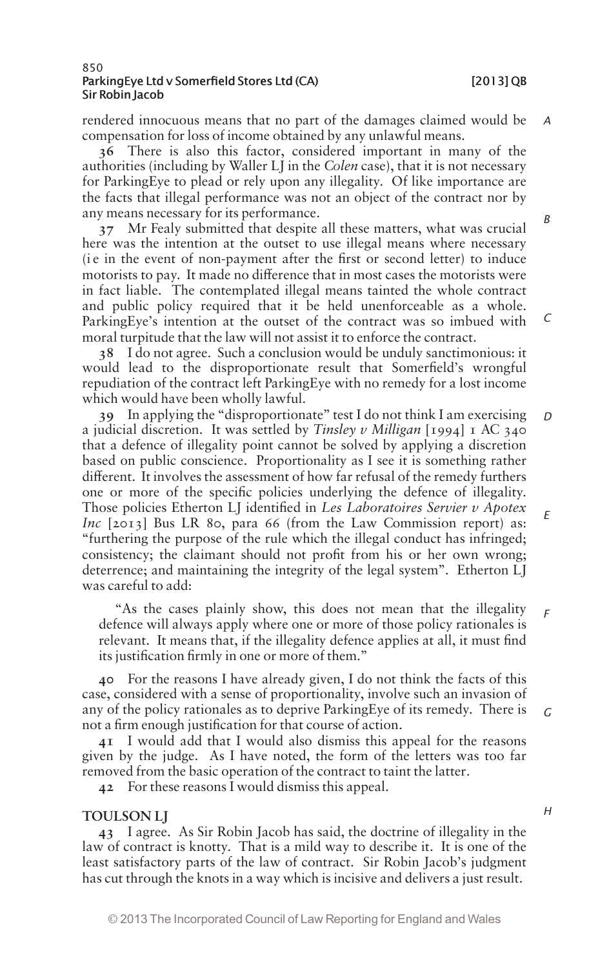rendered innocuous means that no part of the damages claimed would be compensation for loss of income obtained by any unlawful means. A

36 There is also this factor, considered important in many of the authorities (including by Waller LJ in the Colen case), that it is not necessary for ParkingEye to plead or rely upon any illegality. Of like importance are the facts that illegal performance was not an object of the contract nor by any means necessary for its performance.

37 Mr Fealy submitted that despite all these matters, what was crucial here was the intention at the outset to use illegal means where necessary (ie in the event of non-payment after the first or second letter) to induce motorists to pay. It made no difference that in most cases the motorists were in fact liable. The contemplated illegal means tainted the whole contract and public policy required that it be held unenforceable as a whole. ParkingEye's intention at the outset of the contract was so imbued with moral turpitude that the law will not assist it to enforce the contract.

38 I do not agree. Such a conclusion would be unduly sanctimonious: it would lead to the disproportionate result that Somerfield's wrongful repudiation of the contract left ParkingEye with no remedy for a lost income which would have been wholly lawful.

 $39$  In applying the "disproportionate" test I do not think I am exercising a judicial discretion. It was settled by Tinsley v Milligan [1994]  $\,$  I AC 340 that a defence of illegality point cannot be solved by applying a discretion based on public conscience. Proportionality as I see it is something rather different. It involves the assessment of how far refusal of the remedy furthers one or more of the specific policies underlying the defence of illegality. Those policies Etherton LJ identified in Les Laboratoires Servier v Apotex Inc  $[2013]$  Bus LR 80, para 66 (from the Law Commission report) as: furthering the purpose of the rule which the illegal conduct has infringed; consistency; the claimant should not profit from his or her own wrong; deterrence; and maintaining the integrity of the legal system". Etherton LJ was careful to add:  $\Gamma$ E

As the cases plainly show, this does not mean that the illegality defence will always apply where one or more of those policy rationales is relevant. It means that, if the illegality defence applies at all, it must find its justification firmly in one or more of them." F

40 For the reasons I have already given, I do not think the facts of this case, considered with a sense of proportionality, involve such an invasion of any of the policy rationales as to deprive ParkingEye of its remedy. There is not a firm enough justification for that course of action.

41 I would add that I would also dismiss this appeal for the reasons given by the judge. As I have noted, the form of the letters was too far removed from the basic operation of the contract to taint the latter.

42 For these reasons I would dismiss this appeal.

## TOULSON LJ

43 I agree. As Sir Robin Jacob has said, the doctrine of illegality in the law of contract is knotty. That is a mild way to describe it. It is one of the least satisfactory parts of the law of contract. Sir Robin Jacob's judgment has cut through the knots in a way which is incisive and delivers a just result.

G

B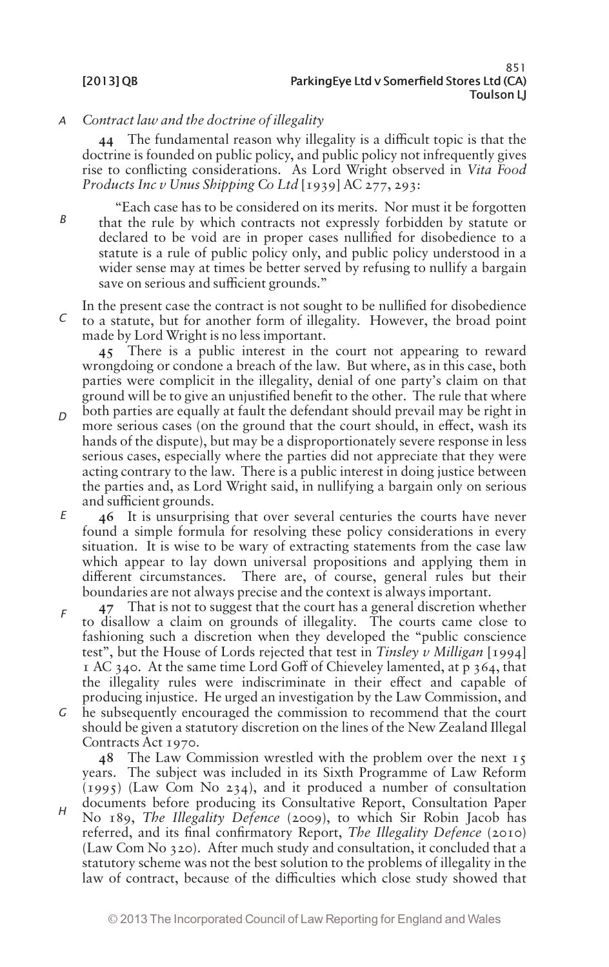## Contract law and the doctrine of illegality A

 $44$  The fundamental reason why illegality is a difficult topic is that the doctrine is founded on public policy, and public policy not infrequently gives rise to conflicting considerations. As Lord Wright observed in Vita Food Products Inc v Unus Shipping Co Ltd [1939] AC 277, 293:

Each case has to be considered on its merits. Nor must it be forgotten that the rule by which contracts not expressly forbidden by statute or declared to be void are in proper cases nullified for disobedience to a statute is a rule of public policy only, and public policy understood in a wider sense may at times be better served by refusing to nullify a bargain save on serious and sufficient grounds." B

In the present case the contract is not sought to be nullified for disobedience to a statute, but for another form of illegality. However, the broad point made by Lord Wright is no less important.  $\mathcal{C}$ 

45 There is a public interest in the court not appearing to reward wrongdoing or condone a breach of the law. But where, as in this case, both parties were complicit in the illegality, denial of one partys claim on that ground will be to give an unjustified benefit to the other. The rule that where

- both parties are equally at fault the defendant should prevail may be right in more serious cases (on the ground that the court should, in effect, wash its hands of the dispute), but may be a disproportionately severe response in less serious cases, especially where the parties did not appreciate that they were acting contrary to the law. There is a public interest in doing justice between the parties and, as Lord Wright said, in nullifying a bargain only on serious and sufficient grounds. D
- 46 It is unsurprising that over several centuries the courts have never found a simple formula for resolving these policy considerations in every situation. It is wise to be wary of extracting statements from the case law which appear to lay down universal propositions and applying them in different circumstances. There are, of course, general rules but their boundaries are not always precise and the context is always important. E

47 That is not to suggest that the court has a general discretion whether to disallow a claim on grounds of illegality. The courts came close to fashioning such a discretion when they developed the "public conscience" test", but the House of Lords rejected that test in Tinsley v Milligan [1994]  $I$  AC 340. At the same time Lord Goff of Chieveley lamented, at p 364, that the illegality rules were indiscriminate in their effect and capable of producing injustice. He urged an investigation by the Law Commission, and F

he subsequently encouraged the commission to recommend that the court should be given a statutory discretion on the lines of the New Zealand Illegal Contracts Act 1970. G

48 The Law Commission wrestled with the problem over the next 15 years. The subject was included in its Sixth Programme of Law Reform (1995) (Law Com No 234), and it produced a number of consultation documents before producing its Consultative Report, Consultation Paper

No 189, The Illegality Defence (2009), to which Sir Robin Jacob has referred, and its final confirmatory Report, The Illegality Defence (2010) (Law Com No 320). After much study and consultation, it concluded that a statutory scheme was not the best solution to the problems of illegality in the law of contract, because of the difficulties which close study showed that  $H$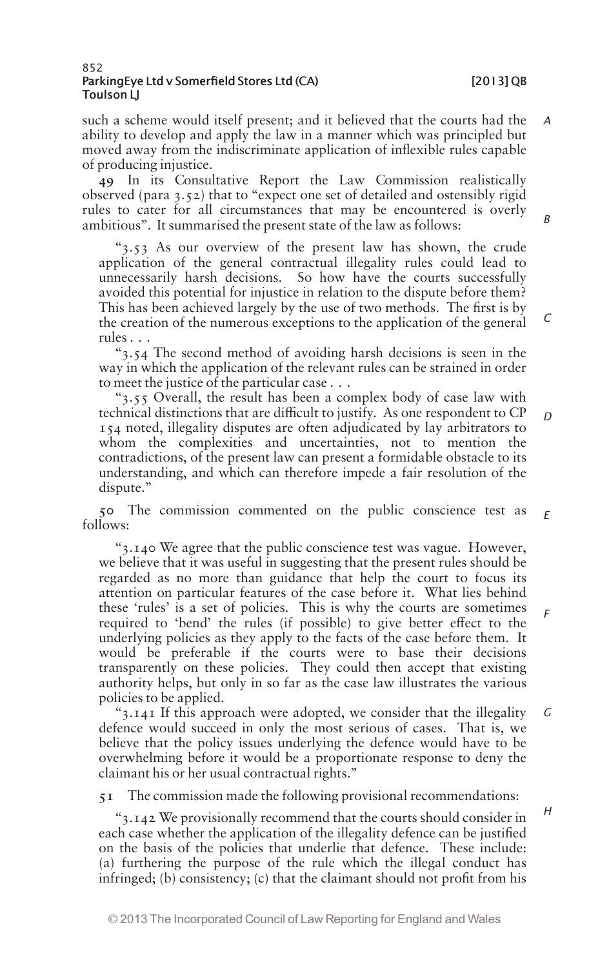such a scheme would itself present; and it believed that the courts had the ability to develop and apply the law in a manner which was principled but moved away from the indiscriminate application of inflexible rules capable of producing injustice. A

49 In its Consultative Report the Law Commission realistically observed (para  $3.52$ ) that to "expect one set of detailed and ostensibly rigid rules to cater for all circumstances that may be encountered is overly ambitious". It summarised the present state of the law as follows:

3.53 As our overview of the present law has shown, the crude application of the general contractual illegality rules could lead to unnecessarily harsh decisions. So how have the courts successfully avoided this potential for injustice in relation to the dispute before them? This has been achieved largely by the use of two methods. The first is by the creation of the numerous exceptions to the application of the general rules . . .

3.54 The second method of avoiding harsh decisions is seen in the way in which the application of the relevant rules can be strained in order to meet the justice of the particular case . . .

3.55 Overall, the result has been a complex body of case law with technical distinctions that are difficult to justify. As one respondent to CP 154 noted, illegality disputes are often adjudicated by lay arbitrators to whom the complexities and uncertainties, not to mention the contradictions, of the present law can present a formidable obstacle to its understanding, and which can therefore impede a fair resolution of the dispute."  $\Gamma$ 

50 The commission commented on the public conscience test as follows: E

3.140 We agree that the public conscience test was vague. However, we believe that it was useful in suggesting that the present rules should be regarded as no more than guidance that help the court to focus its attention on particular features of the case before it. What lies behind these 'rules' is a set of policies. This is why the courts are sometimes required to 'bend' the rules (if possible) to give better effect to the underlying policies as they apply to the facts of the case before them. It would be preferable if the courts were to base their decisions transparently on these policies. They could then accept that existing authority helps, but only in so far as the case law illustrates the various policies to be applied.

3.141 If this approach were adopted, we consider that the illegality defence would succeed in only the most serious of cases. That is, we believe that the policy issues underlying the defence would have to be overwhelming before it would be a proportionate response to deny the claimant his or her usual contractual rights. G

51 The commission made the following provisional recommendations:

H

F

3.142 We provisionally recommend that the courts should consider in each case whether the application of the illegality defence can be justified on the basis of the policies that underlie that defence. These include: (a) furthering the purpose of the rule which the illegal conduct has infringed; (b) consistency; (c) that the claimant should not profit from his

C

B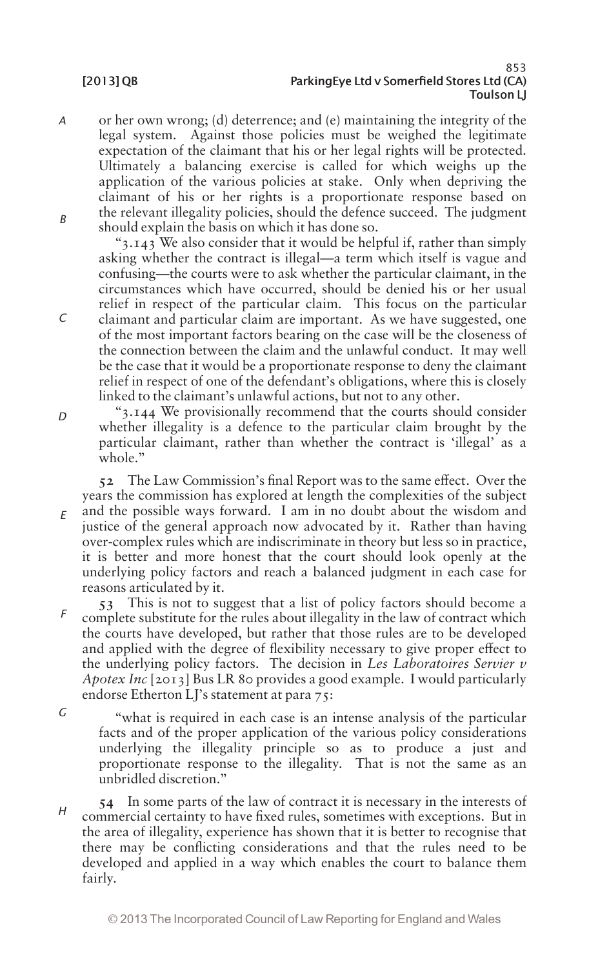or her own wrong; (d) deterrence; and (e) maintaining the integrity of the legal system. Against those policies must be weighed the legitimate expectation of the claimant that his or her legal rights will be protected. Ultimately a balancing exercise is called for which weighs up the application of the various policies at stake. Only when depriving the claimant of his or her rights is a proportionate response based on the relevant illegality policies, should the defence succeed. The judgment should explain the basis on which it has done so. A B

 $\frac{1}{3.143}$  We also consider that it would be helpful if, rather than simply asking whether the contract is illegal—a term which itself is vague and confusing—the courts were to ask whether the particular claimant, in the circumstances which have occurred, should be denied his or her usual relief in respect of the particular claim. This focus on the particular claimant and particular claim are important. As we have suggested, one of the most important factors bearing on the case will be the closeness of the connection between the claim and the unlawful conduct. It may well be the case that it would be a proportionate response to deny the claimant relief in respect of one of the defendant's obligations, where this is closely linked to the claimant's unlawful actions, but not to any other.

3.144 We provisionally recommend that the courts should consider whether illegality is a defence to the particular claim brought by the particular claimant, rather than whether the contract is 'illegal' as a whole."

52 The Law Commission's final Report was to the same effect. Over the years the commission has explored at length the complexities of the subject and the possible ways forward. I am in no doubt about the wisdom and justice of the general approach now advocated by it. Rather than having over-complex rules which are indiscriminate in theory but less so in practice, it is better and more honest that the court should look openly at the underlying policy factors and reach a balanced judgment in each case for reasons articulated by it. E

53 This is not to suggest that a list of policy factors should become a complete substitute for the rules about illegality in the law of contract which the courts have developed, but rather that those rules are to be developed and applied with the degree of flexibility necessary to give proper effect to the underlying policy factors. The decision in Les Laboratoires Servier v Apotex Inc [2013] Bus LR 80 provides a good example. I would particularly endorse Etherton LJ's statement at para  $75$ : F

what is required in each case is an intense analysis of the particular facts and of the proper application of the various policy considerations underlying the illegality principle so as to produce a just and proportionate response to the illegality. That is not the same as an unbridled discretion.

54 In some parts of the law of contract it is necessary in the interests of commercial certainty to have fixed rules, sometimes with exceptions. But in the area of illegality, experience has shown that it is better to recognise that there may be conflicting considerations and that the rules need to be developed and applied in a way which enables the court to balance them fairly. H

D

G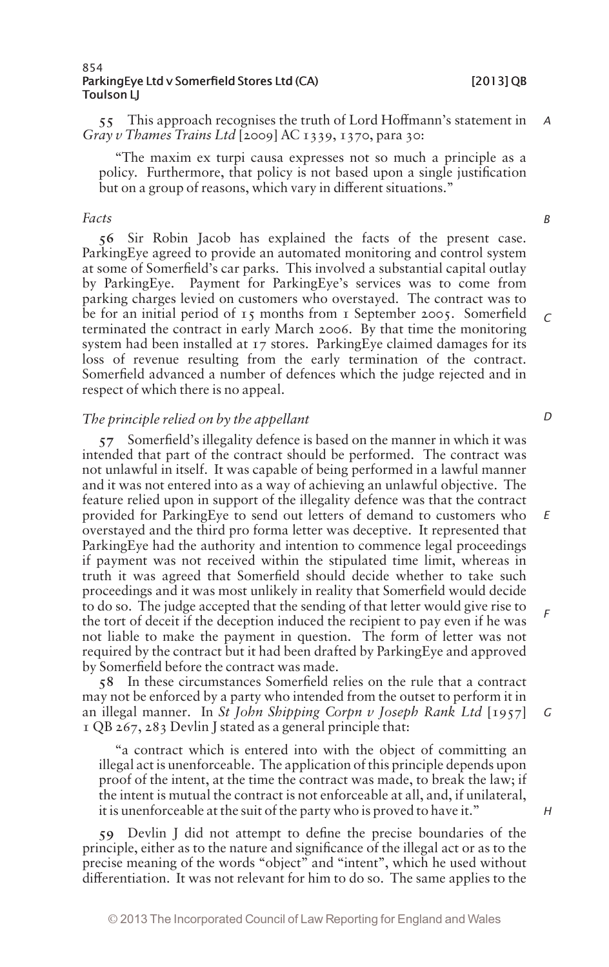55 This approach recognises the truth of Lord Hoffmann's statement in Gray v Thames Trains Ltd [2009] AC 1339, 1370, para 30: A

The maxim ex turpi causa expresses not so much a principle as a policy. Furthermore, that policy is not based upon a single justification but on a group of reasons, which vary in different situations."

### Facts

56 Sir Robin Jacob has explained the facts of the present case. ParkingEye agreed to provide an automated monitoring and control system at some of Somerfield's car parks. This involved a substantial capital outlay by ParkingEye. Payment for ParkingEye's services was to come from parking charges levied on customers who overstayed. The contract was to be for an initial period of 15 months from 1 September 2005. Somerfield terminated the contract in early March 2006. By that time the monitoring system had been installed at 17 stores. ParkingEye claimed damages for its loss of revenue resulting from the early termination of the contract. Somerfield advanced a number of defences which the judge rejected and in respect of which there is no appeal.

## The principle relied on by the appellant

57 Somerfield's illegality defence is based on the manner in which it was intended that part of the contract should be performed. The contract was not unlawful in itself. It was capable of being performed in a lawful manner and it was not entered into as a way of achieving an unlawful objective. The feature relied upon in support of the illegality defence was that the contract provided for ParkingEye to send out letters of demand to customers who overstayed and the third pro forma letter was deceptive. It represented that ParkingEye had the authority and intention to commence legal proceedings if payment was not received within the stipulated time limit, whereas in truth it was agreed that Somerfield should decide whether to take such proceedings and it was most unlikely in reality that Somerfield would decide to do so. The judge accepted that the sending of that letter would give rise to the tort of deceit if the deception induced the recipient to pay even if he was not liable to make the payment in question. The form of letter was not required by the contract but it had been drafted by ParkingEye and approved by Somerfield before the contract was made.

58 In these circumstances Somerfield relies on the rule that a contract may not be enforced by a party who intended from the outset to perform it in an illegal manner. In St John Shipping Corpn v Joseph Rank Ltd [1957]  $I \Omega B$  267, 283 Devlin J stated as a general principle that: G

a contract which is entered into with the object of committing an illegal act is unenforceable. The application of this principle depends upon proof of the intent, at the time the contract was made, to break the law; if the intent is mutual the contract is not enforceable at all, and, if unilateral, it is unenforceable at the suit of the party who is proved to have it.

59 Devlin J did not attempt to define the precise boundaries of the principle, either as to the nature and significance of the illegal act or as to the precise meaning of the words "object" and "intent", which he used without differentiation. It was not relevant for him to do so. The same applies to the

 $\overline{D}$ 

E

F

B

 $\Gamma$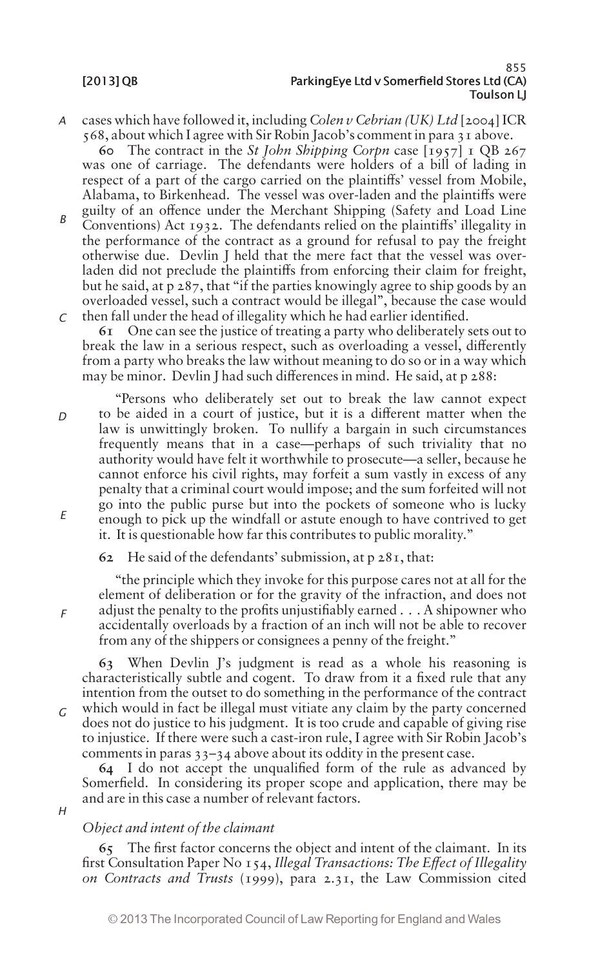cases which have followed it, including Colen v Cebrian (UK) Ltd  $[2004]$  ICR 568, about which I agree with Sir Robin Jacob's comment in para 31 above. A

60 The contract in the St John Shipping Corpn case  $[1957]$  I OB 267 was one of carriage. The defendants were holders of a bill of lading in respect of a part of the cargo carried on the plaintiffs' vessel from Mobile, Alabama, to Birkenhead. The vessel was over-laden and the plaintiffs were guilty of an offence under the Merchant Shipping (Safety and Load Line

Conventions) Act  $1932$ . The defendants relied on the plaintiffs' illegality in the performance of the contract as a ground for refusal to pay the freight otherwise due. Devlin J held that the mere fact that the vessel was overladen did not preclude the plaintiffs from enforcing their claim for freight, but he said, at  $p$  287, that "if the parties knowingly agree to ship goods by an overloaded vessel, such a contract would be illegal", because the case would then fall under the head of illegality which he had earlier identified. B  $\mathcal{C}$ 

61 One can see the justice of treating a party who deliberately sets out to break the law in a serious respect, such as overloading a vessel, differently from a party who breaks the law without meaning to do so or in a way which may be minor. Devlin J had such differences in mind. He said, at p 288:

Persons who deliberately set out to break the law cannot expect to be aided in a court of justice, but it is a different matter when the law is unwittingly broken. To nullify a bargain in such circumstances frequently means that in a case—perhaps of such triviality that no authority would have felt it worthwhile to prosecute—a seller, because he cannot enforce his civil rights, may forfeit a sum vastly in excess of any penalty that a criminal court would impose; and the sum forfeited will not go into the public purse but into the pockets of someone who is lucky enough to pick up the windfall or astute enough to have contrived to get it. It is questionable how far this contributes to public morality. D

62 He said of the defendants' submission, at  $p_28I$ , that:

the principle which they invoke for this purpose cares not at all for the element of deliberation or for the gravity of the infraction, and does not adjust the penalty to the profits unjustifiably earned . . . A shipowner who accidentally overloads by a fraction of an inch will not be able to recover from any of the shippers or consignees a penny of the freight.

63 When Devlin Js judgment is read as a whole his reasoning is characteristically subtle and cogent. To draw from it a fixed rule that any intention from the outset to do something in the performance of the contract which would in fact be illegal must vitiate any claim by the party concerned does not do justice to his judgment. It is too crude and capable of giving rise to injustice. If there were such a cast-iron rule, I agree with Sir Robin Jacob's comments in paras  $33-34$  above about its oddity in the present case. G

64 I do not accept the unqualified form of the rule as advanced by Somerfield. In considering its proper scope and application, there may be and are in this case a number of relevant factors.

H

## Object and intent of the claimant

65 The first factor concerns the object and intent of the claimant. In its first Consultation Paper No 154, Illegal Transactions: The Effect of Illegality on Contracts and Trusts (1999), para 2.31, the Law Commission cited

E

F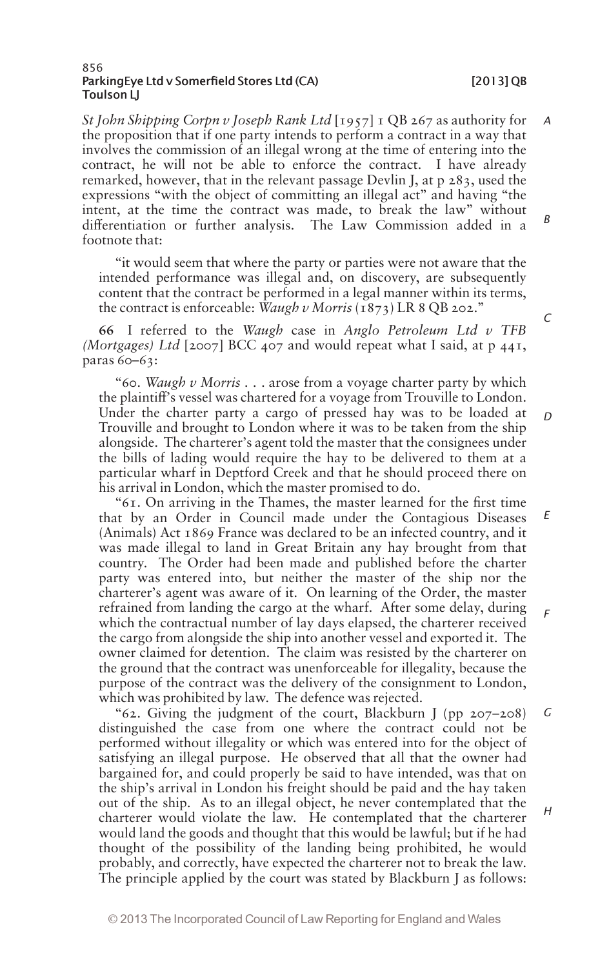St John Shipping Corpn v Joseph Rank Ltd  $\lceil \log_7 \rceil$  1 QB 267 as authority for the proposition that if one party intends to perform a contract in a way that involves the commission of an illegal wrong at the time of entering into the contract, he will not be able to enforce the contract. I have already remarked, however, that in the relevant passage Devlin J, at p 283, used the expressions "with the object of committing an illegal act" and having "the intent, at the time the contract was made, to break the law" without differentiation or further analysis. The Law Commission added in a footnote that: A B

it would seem that where the party or parties were not aware that the intended performance was illegal and, on discovery, are subsequently content that the contract be performed in a legal manner within its terms, the contract is enforceable: Waugh v Morris  $(1873)$  LR 8 QB 202."

66 I referred to the Waugh case in Anglo Petroleum Ltd  $\nu$  TFB (Mortgages) Ltd [2007] BCC 407 and would repeat what I said, at p 441, paras 60—63:

"60. Waugh v Morris  $\ldots$  arose from a voyage charter party by which the plaintiff's vessel was chartered for a voyage from Trouville to London. Under the charter party a cargo of pressed hay was to be loaded at Trouville and brought to London where it was to be taken from the ship alongside. The charterer's agent told the master that the consignees under the bills of lading would require the hay to be delivered to them at a particular wharf in Deptford Creek and that he should proceed there on his arrival in London, which the master promised to do.

" $61$ . On arriving in the Thames, the master learned for the first time that by an Order in Council made under the Contagious Diseases (Animals) Act 1869 France was declared to be an infected country, and it was made illegal to land in Great Britain any hay brought from that country. The Order had been made and published before the charter party was entered into, but neither the master of the ship nor the charterer's agent was aware of it. On learning of the Order, the master refrained from landing the cargo at the wharf. After some delay, during which the contractual number of lay days elapsed, the charterer received the cargo from alongside the ship into another vessel and exported it. The owner claimed for detention. The claim was resisted by the charterer on the ground that the contract was unenforceable for illegality, because the purpose of the contract was the delivery of the consignment to London, which was prohibited by law. The defence was rejected. E F

62. Giving the judgment of the court, Blackburn J (pp 207—208) distinguished the case from one where the contract could not be performed without illegality or which was entered into for the object of satisfying an illegal purpose. He observed that all that the owner had bargained for, and could properly be said to have intended, was that on the ship's arrival in London his freight should be paid and the hay taken out of the ship. As to an illegal object, he never contemplated that the charterer would violate the law. He contemplated that the charterer would land the goods and thought that this would be lawful; but if he had thought of the possibility of the landing being prohibited, he would probably, and correctly, have expected the charterer not to break the law. The principle applied by the court was stated by Blackburn J as follows: G H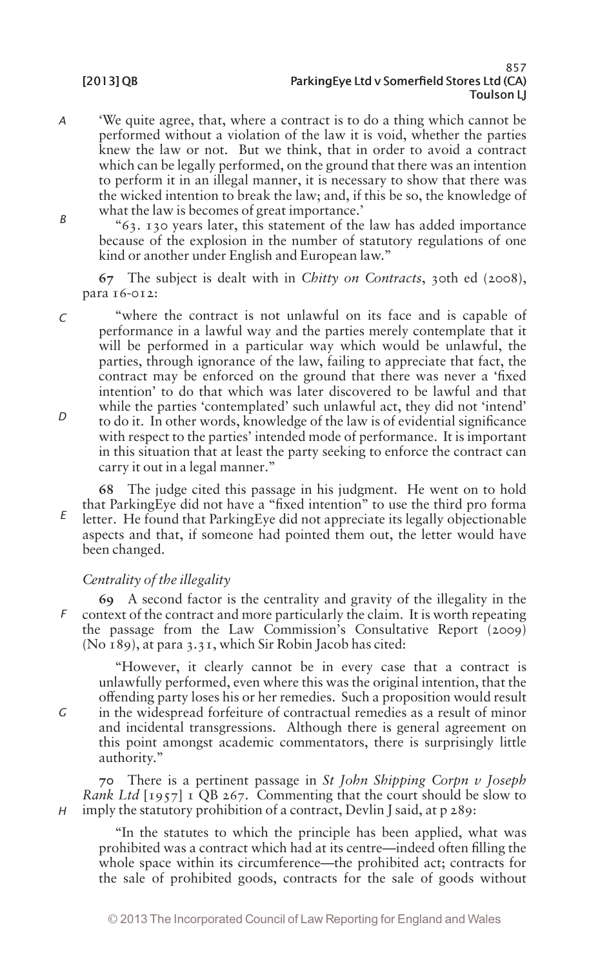#### 857 [2013] QB ParkingEye Ltd v Somerfield Stores Ltd (CA) Toulson LJ

We quite agree, that, where a contract is to do a thing which cannot be performed without a violation of the law it is void, whether the parties knew the law or not. But we think, that in order to avoid a contract which can be legally performed, on the ground that there was an intention to perform it in an illegal manner, it is necessary to show that there was the wicked intention to break the law; and, if this be so, the knowledge of what the law is becomes of great importance.' A B

63. 130 years later, this statement of the law has added importance because of the explosion in the number of statutory regulations of one kind or another under English and European law.

67 The subject is dealt with in Chitty on Contracts, 30th ed (2008), para 16-012:

where the contract is not unlawful on its face and is capable of performance in a lawful way and the parties merely contemplate that it will be performed in a particular way which would be unlawful, the parties, through ignorance of the law, failing to appreciate that fact, the contract may be enforced on the ground that there was never a 'fixed intention' to do that which was later discovered to be lawful and that while the parties 'contemplated' such unlawful act, they did not 'intend' to do it. In other words, knowledge of the law is of evidential significance with respect to the parties' intended mode of performance. It is important in this situation that at least the party seeking to enforce the contract can carry it out in a legal manner. C

68 The judge cited this passage in his judgment. He went on to hold that ParkingEye did not have a "fixed intention" to use the third pro forma letter. He found that ParkingEye did not appreciate its legally objectionable aspects and that, if someone had pointed them out, the letter would have been changed. E

## Centrality of the illegality

69 A second factor is the centrality and gravity of the illegality in the context of the contract and more particularly the claim. It is worth repeating the passage from the Law Commission's Consultative Report  $(2009)$ (No 189), at para 3.31, which Sir Robin Jacob has cited: F

However, it clearly cannot be in every case that a contract is unlawfully performed, even where this was the original intention, that the offending party loses his or her remedies. Such a proposition would result in the widespread forfeiture of contractual remedies as a result of minor and incidental transgressions. Although there is general agreement on this point amongst academic commentators, there is surprisingly little authority.

70 There is a pertinent passage in St John Shipping Corpn  $v$  Joseph *Rank Ltd* [1957] 1 OB 267. Commenting that the court should be slow to imply the statutory prohibition of a contract, Devlin J said, at p 289: H

"In the statutes to which the principle has been applied, what was prohibited was a contract which had at its centre—indeed often filling the whole space within its circumference—the prohibited act; contracts for the sale of prohibited goods, contracts for the sale of goods without

D

G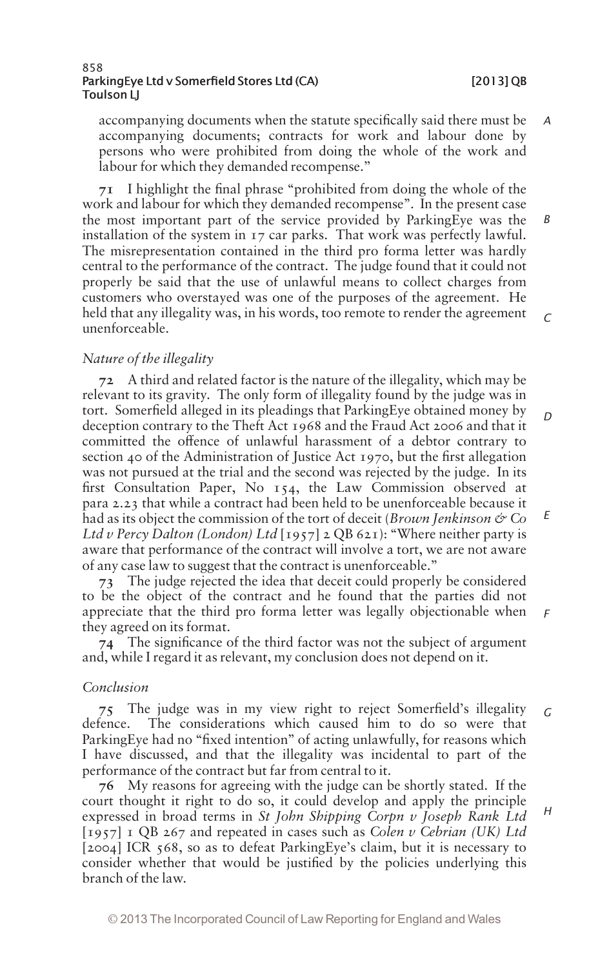accompanying documents when the statute specifically said there must be accompanying documents; contracts for work and labour done by persons who were prohibited from doing the whole of the work and labour for which they demanded recompense." A

 $7I$  I highlight the final phrase "prohibited from doing the whole of the work and labour for which they demanded recompense". In the present case the most important part of the service provided by ParkingEye was the installation of the system in 17 car parks. That work was perfectly lawful. The misrepresentation contained in the third pro forma letter was hardly central to the performance of the contract. The judge found that it could not properly be said that the use of unlawful means to collect charges from customers who overstayed was one of the purposes of the agreement. He held that any illegality was, in his words, too remote to render the agreement unenforceable. B  $\Gamma$ 

## Nature of the illegality

72 A third and related factor is the nature of the illegality, which may be relevant to its gravity. The only form of illegality found by the judge was in tort. Somerfield alleged in its pleadings that ParkingEye obtained money by deception contrary to the Theft Act 1968 and the Fraud Act 2006 and that it committed the offence of unlawful harassment of a debtor contrary to section 40 of the Administration of Justice Act 1970, but the first allegation was not pursued at the trial and the second was rejected by the judge. In its first Consultation Paper, No 154, the Law Commission observed at para 2.23 that while a contract had been held to be unenforceable because it had as its object the commission of the tort of deceit (Brown Jenkinson  $\circ$  Co Ltd v Percy Dalton (London) Ltd [1957] 2 QB 621): "Where neither party is aware that performance of the contract will involve a tort, we are not aware of any case law to suggest that the contract is unenforceable. E

73 The judge rejected the idea that deceit could properly be considered to be the object of the contract and he found that the parties did not appreciate that the third pro forma letter was legally objectionable when they agreed on its format.

74 The significance of the third factor was not the subject of argument and, while I regard it as relevant, my conclusion does not depend on it.

## Conclusion

75 The judge was in my view right to reject Somerfield's illegality defence. The considerations which caused him to do so were that ParkingEye had no "fixed intention" of acting unlawfully, for reasons which I have discussed, and that the illegality was incidental to part of the performance of the contract but far from central to it. G

76 My reasons for agreeing with the judge can be shortly stated. If the court thought it right to do so, it could develop and apply the principle expressed in broad terms in St John Shipping Corpn v Joseph Rank Ltd [1957] 1 QB 267 and repeated in cases such as Colen v Cebrian (UK) Ltd [2004] ICR  $568$ , so as to defeat ParkingEye's claim, but it is necessary to consider whether that would be justified by the policies underlying this branch of the law.

© 2013 The Incorporated Council of Law Reporting for England and Wales

 $\overline{D}$ 

F